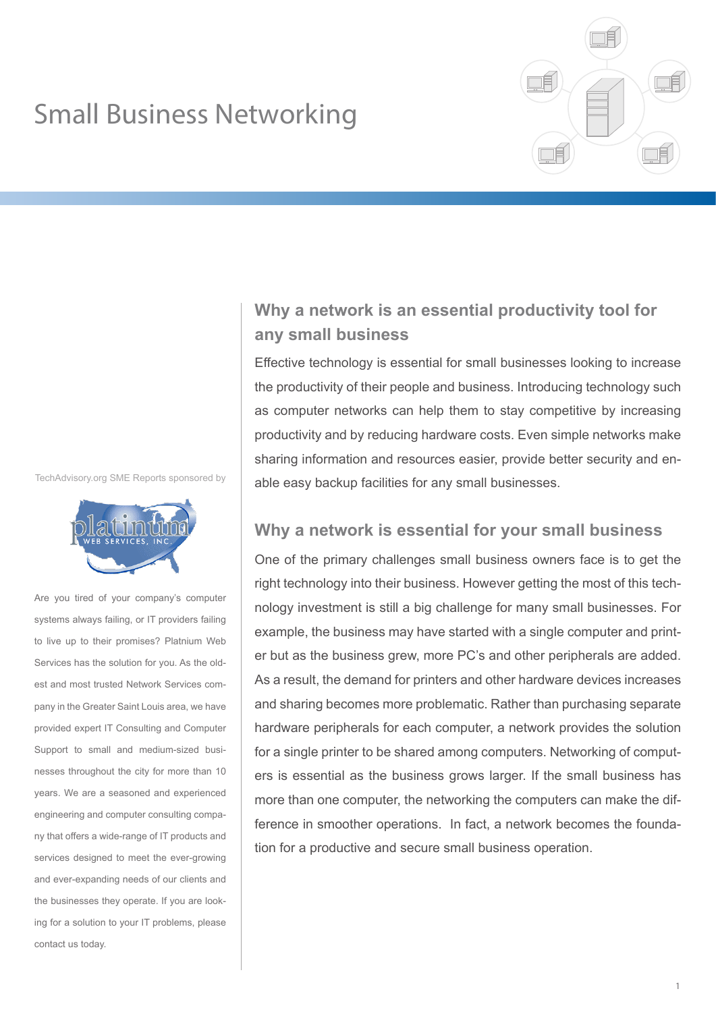# Small Business Networking



TechAdvisory.org SME Reports sponsored by



Are you tired of your company's computer systems always failing, or IT providers failing to live up to their promises? Platnium Web Services has the solution for you. As the oldest and most trusted Network Services company in the Greater Saint Louis area, we have provided expert IT Consulting and Computer Support to small and medium-sized businesses throughout the city for more than 10 years. We are a seasoned and experienced engineering and computer consulting company that offers a wide-range of IT products and services designed to meet the ever-growing and ever-expanding needs of our clients and the businesses they operate. If you are looking for a solution to your IT problems, please contact us today.

# **Why a network is an essential productivity tool for any small business**

Effective technology is essential for small businesses looking to increase the productivity of their people and business. Introducing technology such as computer networks can help them to stay competitive by increasing productivity and by reducing hardware costs. Even simple networks make sharing information and resources easier, provide better security and enable easy backup facilities for any small businesses.

### **Why a network is essential for your small business**

One of the primary challenges small business owners face is to get the right technology into their business. However getting the most of this technology investment is still a big challenge for many small businesses. For example, the business may have started with a single computer and printer but as the business grew, more PC's and other peripherals are added. As a result, the demand for printers and other hardware devices increases and sharing becomes more problematic. Rather than purchasing separate hardware peripherals for each computer, a network provides the solution for a single printer to be shared among computers. Networking of computers is essential as the business grows larger. If the small business has more than one computer, the networking the computers can make the difference in smoother operations. In fact, a network becomes the foundation for a productive and secure small business operation.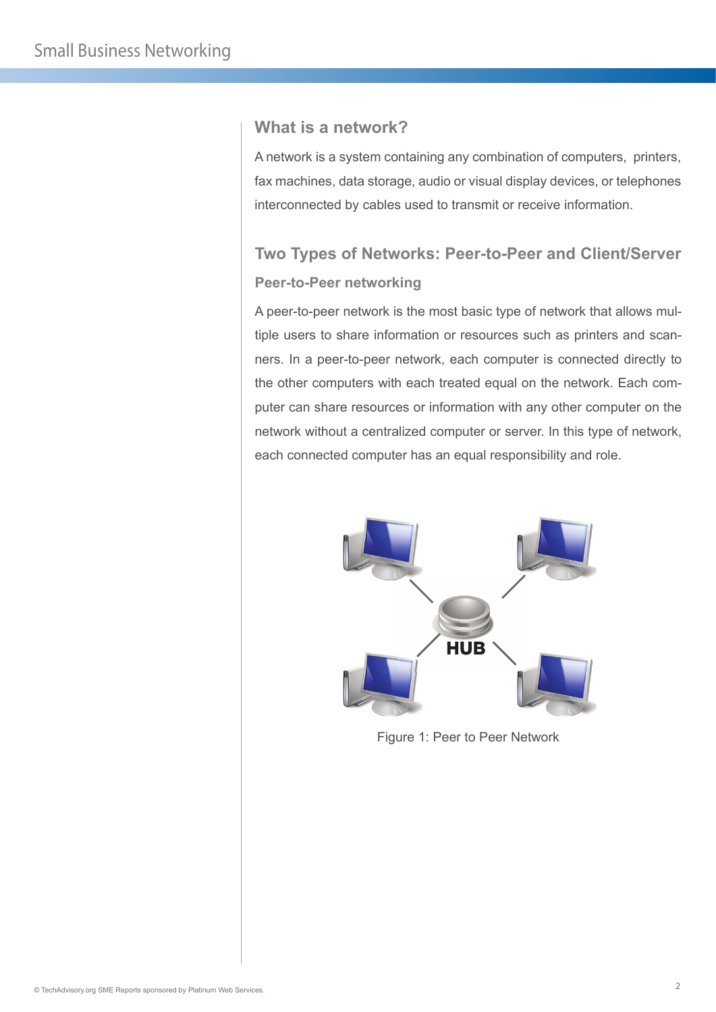#### **What is a network?**

A network is a system containing any combination of computers, printers, fax machines, data storage, audio or visual display devices, or telephones interconnected by cables used to transmit or receive information.

# **Two Types of Networks: Peer-to-Peer and Client/Server Peer-to-Peer networking**

A peer-to-peer network is the most basic type of network that allows multiple users to share information or resources such as printers and scanners. In a peer-to-peer network, each computer is connected directly to the other computers with each treated equal on the network. Each computer can share resources or information with any other computer on the network without a centralized computer or server. In this type of network, each connected computer has an equal responsibility and role.



Figure 1: Peer to Peer Network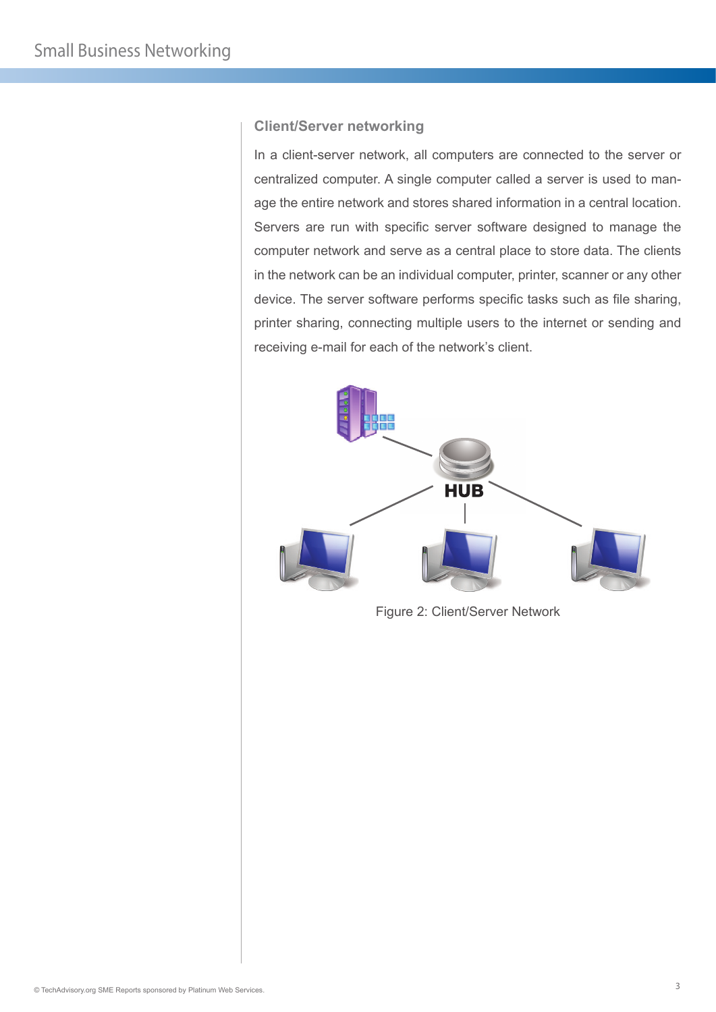#### **Client/Server networking**

In a client-server network, all computers are connected to the server or centralized computer. A single computer called a server is used to manage the entire network and stores shared information in a central location. Servers are run with specific server software designed to manage the computer network and serve as a central place to store data. The clients in the network can be an individual computer, printer, scanner or any other device. The server software performs specific tasks such as file sharing, printer sharing, connecting multiple users to the internet or sending and receiving e-mail for each of the network's client.



Figure 2: Client/Server Network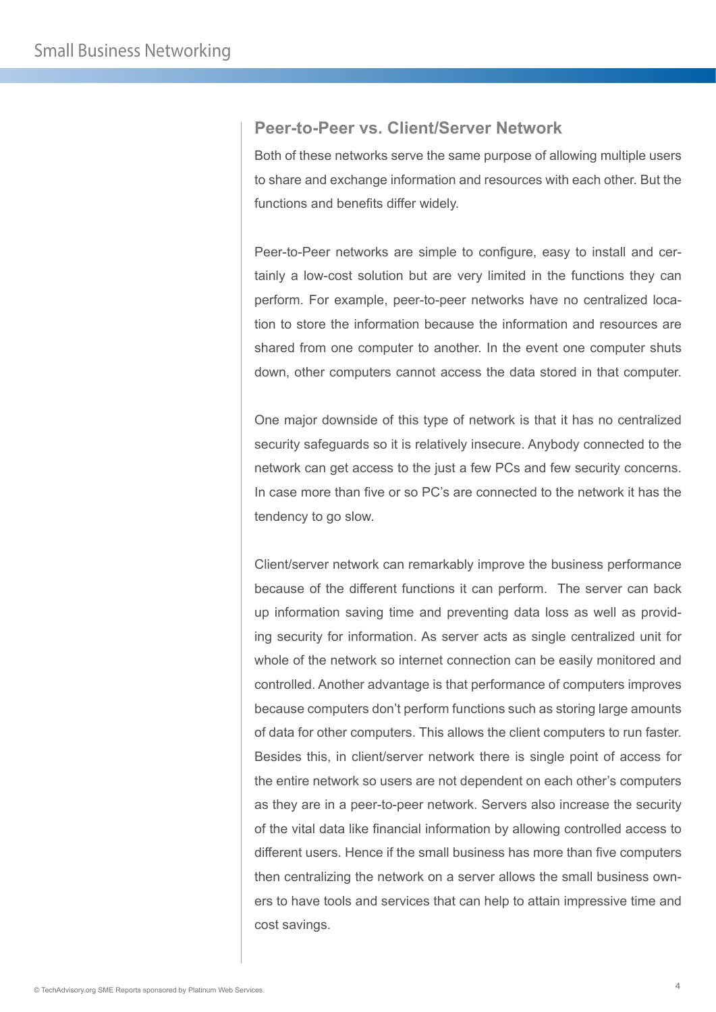#### **Peer-to-Peer vs. Client/Server Network**

Both of these networks serve the same purpose of allowing multiple users to share and exchange information and resources with each other. But the functions and benefits differ widely.

Peer-to-Peer networks are simple to configure, easy to install and certainly a low-cost solution but are very limited in the functions they can perform. For example, peer-to-peer networks have no centralized location to store the information because the information and resources are shared from one computer to another. In the event one computer shuts down, other computers cannot access the data stored in that computer.

One major downside of this type of network is that it has no centralized security safeguards so it is relatively insecure. Anybody connected to the network can get access to the just a few PCs and few security concerns. In case more than five or so PC's are connected to the network it has the tendency to go slow.

Client/server network can remarkably improve the business performance because of the different functions it can perform. The server can back up information saving time and preventing data loss as well as providing security for information. As server acts as single centralized unit for whole of the network so internet connection can be easily monitored and controlled. Another advantage is that performance of computers improves because computers don't perform functions such as storing large amounts of data for other computers. This allows the client computers to run faster. Besides this, in client/server network there is single point of access for the entire network so users are not dependent on each other's computers as they are in a peer-to-peer network. Servers also increase the security of the vital data like financial information by allowing controlled access to different users. Hence if the small business has more than five computers then centralizing the network on a server allows the small business owners to have tools and services that can help to attain impressive time and cost savings.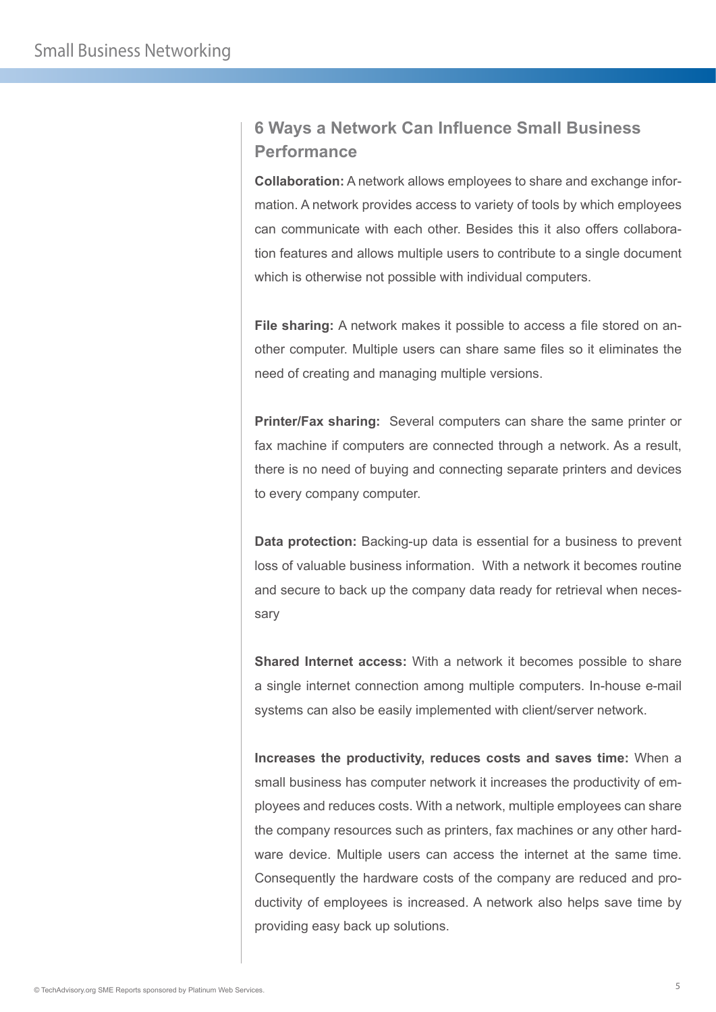# **6 Ways a Network Can Influence Small Business Performance**

**Collaboration:** A network allows employees to share and exchange information. A network provides access to variety of tools by which employees can communicate with each other. Besides this it also offers collaboration features and allows multiple users to contribute to a single document which is otherwise not possible with individual computers.

**File sharing:** A network makes it possible to access a file stored on another computer. Multiple users can share same files so it eliminates the need of creating and managing multiple versions.

**Printer/Fax sharing:** Several computers can share the same printer or fax machine if computers are connected through a network. As a result, there is no need of buying and connecting separate printers and devices to every company computer.

**Data protection:** Backing-up data is essential for a business to prevent loss of valuable business information. With a network it becomes routine and secure to back up the company data ready for retrieval when necessary

**Shared Internet access:** With a network it becomes possible to share a single internet connection among multiple computers. In-house e-mail systems can also be easily implemented with client/server network.

**Increases the productivity, reduces costs and saves time:** When a small business has computer network it increases the productivity of employees and reduces costs. With a network, multiple employees can share the company resources such as printers, fax machines or any other hardware device. Multiple users can access the internet at the same time. Consequently the hardware costs of the company are reduced and productivity of employees is increased. A network also helps save time by providing easy back up solutions.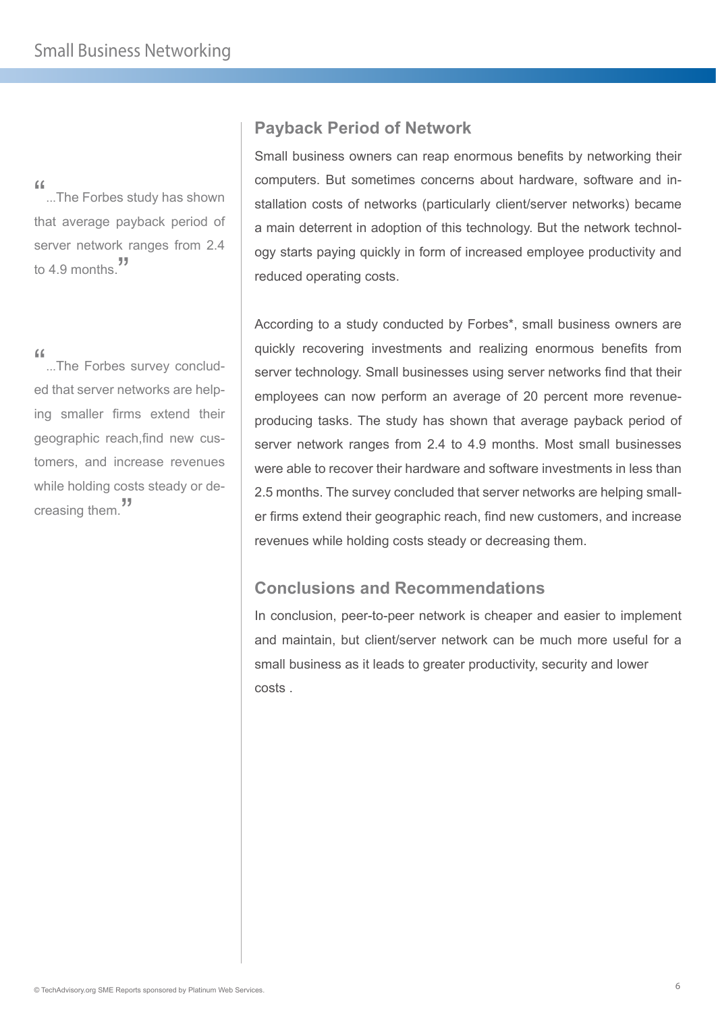"...The Forbes study has shown" that average payback period of server network ranges from 2.4 to 4.9 months."

"...The Forbes survey concluded that server networks are helping smaller firms extend their geographic reach,find new customers, and increase revenues while holding costs steady or de**creasing them.** 

# **Payback Period of Network**

Small business owners can reap enormous benefits by networking their computers. But sometimes concerns about hardware, software and installation costs of networks (particularly client/server networks) became a main deterrent in adoption of this technology. But the network technology starts paying quickly in form of increased employee productivity and reduced operating costs.

According to a study conducted by Forbes\*, small business owners are quickly recovering investments and realizing enormous benefits from server technology. Small businesses using server networks find that their employees can now perform an average of 20 percent more revenueproducing tasks. The study has shown that average payback period of server network ranges from 2.4 to 4.9 months. Most small businesses were able to recover their hardware and software investments in less than 2.5 months. The survey concluded that server networks are helping smaller firms extend their geographic reach, find new customers, and increase revenues while holding costs steady or decreasing them.

# **Conclusions and Recommendations**

In conclusion, peer-to-peer network is cheaper and easier to implement and maintain, but client/server network can be much more useful for a small business as it leads to greater productivity, security and lower costs .